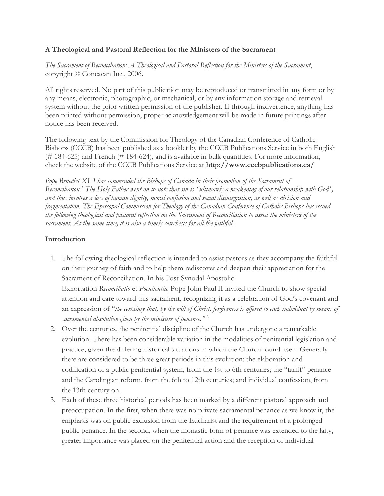## **A Theological and Pastoral Reflection for the Ministers of the Sacrament**

*The Sacrament of Reconciliation: A Theological and Pastoral Reflection for the Ministers of the Sacrament*, copyright © Concacan Inc., 2006.

All rights reserved. No part of this publication may be reproduced or transmitted in any form or by any means, electronic, photographic, or mechanical, or by any information storage and retrieval system without the prior written permission of the publisher. If through inadvertence, anything has been printed without permission, proper acknowledgement will be made in future printings after notice has been received.

The following text by the Commission for Theology of the Canadian Conference of Catholic Bishops (CCCB) has been published as a booklet by the CCCB Publications Service in both English (# 184-625) and French (# 184-624), and is available in bulk quantities. For more information, check the website of the CCCB Publications Service at **<http://www.cccbpublications.ca/>**

Pope Benedict XVI has commended the Bishops of Canada in their promotion of the Sacrament of *Reconciliation.<sup>1</sup> The Holy Father went on to note that sin is "ultimately a weakening of our relationship with God", and thus involves a loss of human dignity, moral confusion and social disintegration, as well as division and fragmentation. The Episcopal Commission for Theology of the Canadian Conference of Catholic Bishops has issued the following theological and pastoral reflection on the Sacrament of Reconciliation to assist the ministers of the sacrament. At the same time, it is also a timely catechesis for all the faithful.*

# **Introduction**

- 1. The following theological reflection is intended to assist pastors as they accompany the faithful on their journey of faith and to help them rediscover and deepen their appreciation for the Sacrament of Reconciliation. In his Post-Synodal Apostolic Exhortation *Reconciliatio* et *Poenitentia*, Pope John Paul II invited the Church to show special attention and care toward this sacrament, recognizing it as a celebration of God's covenant and an expression of "*the certainty that, by the will of Christ, forgiveness is offered to each individual by means of sacramental absolution given by the ministers of penance."* <sup>2</sup>
- 2. Over the centuries, the penitential discipline of the Church has undergone a remarkable evolution. There has been considerable variation in the modalities of penitential legislation and practice, given the differing historical situations in which the Church found itself. Generally there are considered to be three great periods in this evolution: the elaboration and codification of a public penitential system, from the 1st to 6th centuries; the "tariff" penance and the Carolingian reform, from the 6th to 12th centuries; and individual confession, from the 13th century on.
- 3. Each of these three historical periods has been marked by a different pastoral approach and preoccupation. In the first, when there was no private sacramental penance as we know it, the emphasis was on public exclusion from the Eucharist and the requirement of a prolonged public penance. In the second, when the monastic form of penance was extended to the laity, greater importance was placed on the penitential action and the reception of individual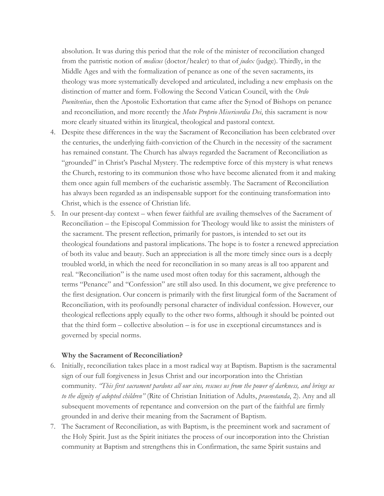absolution. It was during this period that the role of the minister of reconciliation changed from the patristic notion of *medicus* (doctor/healer) to that of *judex* (judge). Thirdly, in the Middle Ages and with the formalization of penance as one of the seven sacraments, its theology was more systematically developed and articulated, including a new emphasis on the distinction of matter and form. Following the Second Vatican Council, with the *Ordo Poenitentiae*, then the Apostolic Exhortation that came after the Synod of Bishops on penance and reconciliation, and more recently the *Motu Proprio Misericordia Dei*, this sacrament is now more clearly situated within its liturgical, theological and pastoral context.

- 4. Despite these differences in the way the Sacrament of Reconciliation has been celebrated over the centuries, the underlying faith-conviction of the Church in the necessity of the sacrament has remained constant. The Church has always regarded the Sacrament of Reconciliation as "grounded" in Christ's Paschal Mystery. The redemptive force of this mystery is what renews the Church, restoring to its communion those who have become alienated from it and making them once again full members of the eucharistic assembly. The Sacrament of Reconciliation has always been regarded as an indispensable support for the continuing transformation into Christ, which is the essence of Christian life.
- 5. In our present-day context when fewer faithful are availing themselves of the Sacrament of Reconciliation – the Episcopal Commission for Theology would like to assist the ministers of the sacrament. The present reflection, primarily for pastors, is intended to set out its theological foundations and pastoral implications. The hope is to foster a renewed appreciation of both its value and beauty. Such an appreciation is all the more timely since ours is a deeply troubled world, in which the need for reconciliation in so many areas is all too apparent and real. "Reconciliation" is the name used most often today for this sacrament, although the terms "Penance" and "Confession" are still also used. In this document, we give preference to the first designation. Our concern is primarily with the first liturgical form of the Sacrament of Reconciliation, with its profoundly personal character of individual confession. However, our theological reflections apply equally to the other two forms, although it should be pointed out that the third form – collective absolution – is for use in exceptional circumstances and is governed by special norms.

## **Why the Sacrament of Reconciliation?**

- 6. Initially, reconciliation takes place in a most radical way at Baptism. Baptism is the sacramental sign of our full forgiveness in Jesus Christ and our incorporation into the Christian community. *"This first sacrament pardons all our sins, rescues us from the power of darkness, and brings us to the dignity of adopted children"* (Rite of Christian Initiation of Adults, *praenotanda*, 2). Any and all subsequent movements of repentance and conversion on the part of the faithful are firmly grounded in and derive their meaning from the Sacrament of Baptism.
- 7. The Sacrament of Reconciliation, as with Baptism, is the preeminent work and sacrament of the Holy Spirit. Just as the Spirit initiates the process of our incorporation into the Christian community at Baptism and strengthens this in Confirmation, the same Spirit sustains and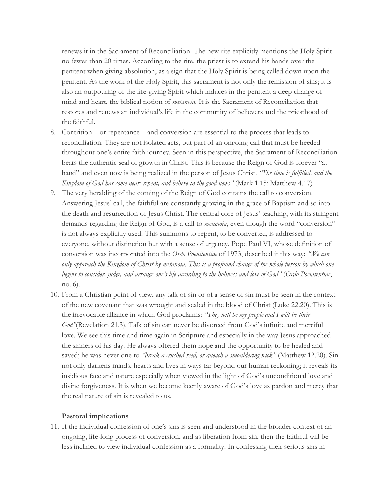renews it in the Sacrament of Reconciliation. The new rite explicitly mentions the Holy Spirit no fewer than 20 times. According to the rite, the priest is to extend his hands over the penitent when giving absolution, as a sign that the Holy Spirit is being called down upon the penitent. As the work of the Holy Spirit, this sacrament is not only the remission of sins; it is also an outpouring of the life-giving Spirit which induces in the penitent a deep change of mind and heart, the biblical notion of *metanoia*. It is the Sacrament of Reconciliation that restores and renews an individual's life in the community of believers and the priesthood of the faithful.

- 8. Contrition or repentance and conversion are essential to the process that leads to reconciliation. They are not isolated acts, but part of an ongoing call that must be heeded throughout one's entire faith journey. Seen in this perspective, the Sacrament of Reconciliation bears the authentic seal of growth in Christ. This is because the Reign of God is forever "at hand" and even now is being realized in the person of Jesus Christ. *"The time is fulfilled, and the Kingdom of God has come near; repent, and believe in the good news"* (Mark 1.15; Matthew 4.17).
- 9. The very heralding of the coming of the Reign of God contains the call to conversion. Answering Jesus' call, the faithful are constantly growing in the grace of Baptism and so into the death and resurrection of Jesus Christ. The central core of Jesus' teaching, with its stringent demands regarding the Reign of God, is a call to *metanoia*, even though the word "conversion" is not always explicitly used. This summons to repent, to be converted, is addressed to everyone, without distinction but with a sense of urgency. Pope Paul VI, whose definition of conversion was incorporated into the *Ordo Poenitentiae* of 1973, described it this way: *"We can only approach the Kingdom of Christ by metanoia. This is a profound change of the whole person by which one begins to consider, judge, and arrange one's life according to the holiness and love of God"* (*Ordo Poenitentiae*, no. 6).
- 10. From a Christian point of view, any talk of sin or of a sense of sin must be seen in the context of the new covenant that was wrought and sealed in the blood of Christ (Luke 22.20). This is the irrevocable alliance in which God proclaims: *"They will be my people and I will be their God"*(Revelation 21.3). Talk of sin can never be divorced from God's infinite and merciful love. We see this time and time again in Scripture and especially in the way Jesus approached the sinners of his day. He always offered them hope and the opportunity to be healed and saved; he was never one to *"break a crushed reed, or quench a smouldering wick"* (Matthew 12.20). Sin not only darkens minds, hearts and lives in ways far beyond our human reckoning; it reveals its insidious face and nature especially when viewed in the light of God's unconditional love and divine forgiveness. It is when we become keenly aware of God's love as pardon and mercy that the real nature of sin is revealed to us.

## **Pastoral implications**

11. If the individual confession of one's sins is seen and understood in the broader context of an ongoing, life-long process of conversion, and as liberation from sin, then the faithful will be less inclined to view individual confession as a formality. In confessing their serious sins in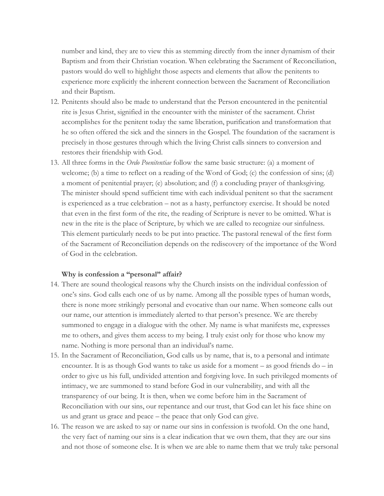number and kind, they are to view this as stemming directly from the inner dynamism of their Baptism and from their Christian vocation. When celebrating the Sacrament of Reconciliation, pastors would do well to highlight those aspects and elements that allow the penitents to experience more explicitly the inherent connection between the Sacrament of Reconciliation and their Baptism.

- 12. Penitents should also be made to understand that the Person encountered in the penitential rite is Jesus Christ, signified in the encounter with the minister of the sacrament. Christ accomplishes for the penitent today the same liberation, purification and transformation that he so often offered the sick and the sinners in the Gospel. The foundation of the sacrament is precisely in those gestures through which the living Christ calls sinners to conversion and restores their friendship with God.
- 13. All three forms in the *Ordo Poenitentiae* follow the same basic structure: (a) a moment of welcome; (b) a time to reflect on a reading of the Word of God; (c) the confession of sins; (d) a moment of penitential prayer; (e) absolution; and (f) a concluding prayer of thanksgiving. The minister should spend sufficient time with each individual penitent so that the sacrament is experienced as a true celebration – not as a hasty, perfunctory exercise. It should be noted that even in the first form of the rite, the reading of Scripture is never to be omitted. What is new in the rite is the place of Scripture, by which we are called to recognize our sinfulness. This element particularly needs to be put into practice. The pastoral renewal of the first form of the Sacrament of Reconciliation depends on the rediscovery of the importance of the Word of God in the celebration.

#### **Why is confession a "personal" affair?**

- 14. There are sound theological reasons why the Church insists on the individual confession of one's sins. God calls each one of us by name. Among all the possible types of human words, there is none more strikingly personal and evocative than our name. When someone calls out our name, our attention is immediately alerted to that person's presence. We are thereby summoned to engage in a dialogue with the other. My name is what manifests me, expresses me to others, and gives them access to my being. I truly exist only for those who know my name. Nothing is more personal than an individual's name.
- 15. In the Sacrament of Reconciliation, God calls us by name, that is, to a personal and intimate encounter. It is as though God wants to take us aside for a moment – as good friends do – in order to give us his full, undivided attention and forgiving love. In such privileged moments of intimacy, we are summoned to stand before God in our vulnerability, and with all the transparency of our being. It is then, when we come before him in the Sacrament of Reconciliation with our sins, our repentance and our trust, that God can let his face shine on us and grant us grace and peace – the peace that only God can give.
- 16. The reason we are asked to say or name our sins in confession is twofold. On the one hand, the very fact of naming our sins is a clear indication that we own them, that they are our sins and not those of someone else. It is when we are able to name them that we truly take personal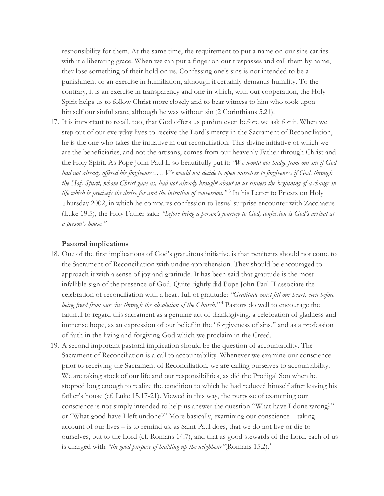responsibility for them. At the same time, the requirement to put a name on our sins carries with it a liberating grace. When we can put a finger on our trespasses and call them by name, they lose something of their hold on us. Confessing one's sins is not intended to be a punishment or an exercise in humiliation, although it certainly demands humility. To the contrary, it is an exercise in transparency and one in which, with our cooperation, the Holy Spirit helps us to follow Christ more closely and to bear witness to him who took upon himself our sinful state, although he was without sin  $(2$  Corinthians 5.21).

17. It is important to recall, too, that God offers us pardon even before we ask for it. When we step out of our everyday lives to receive the Lord's mercy in the Sacrament of Reconciliation, he is the one who takes the initiative in our reconciliation. This divine initiative of which we are the beneficiaries, and not the artisans, comes from our heavenly Father through Christ and the Holy Spirit. As Pope John Paul II so beautifully put it: *"We would not budge from our sin if God had not already offered his forgiveness…. We would not decide to open ourselves to forgiveness if God, through the Holy Spirit, whom Christ gave us, had not already brought about in us sinners the beginning of a change in life which is precisely the desire for and the intention of conversion."* <sup>3</sup> In his Letter to Priests on Holy Thursday 2002, in which he compares confession to Jesus' surprise encounter with Zacchaeus (Luke 19.5), the Holy Father said: *"Before being a person's journey to God, confession is God's arrival at a person's house."*

#### **Pastoral implications**

- 18. One of the first implications of God's gratuitous initiative is that penitents should not come to the Sacrament of Reconciliation with undue apprehension. They should be encouraged to approach it with a sense of joy and gratitude. It has been said that gratitude is the most infallible sign of the presence of God. Quite rightly did Pope John Paul II associate the celebration of reconciliation with a heart full of gratitude: *"Gratitude must fill our heart, even before being freed from our sins through the absolution of the Church."* <sup>4</sup> Pastors do well to encourage the faithful to regard this sacrament as a genuine act of thanksgiving, a celebration of gladness and immense hope, as an expression of our belief in the "forgiveness of sins," and as a profession of faith in the living and forgiving God which we proclaim in the Creed.
- 19. A second important pastoral implication should be the question of accountability. The Sacrament of Reconciliation is a call to accountability. Whenever we examine our conscience prior to receiving the Sacrament of Reconciliation, we are calling ourselves to accountability. We are taking stock of our life and our responsibilities, as did the Prodigal Son when he stopped long enough to realize the condition to which he had reduced himself after leaving his father's house (cf. Luke 15.17-21). Viewed in this way, the purpose of examining our conscience is not simply intended to help us answer the question "What have I done wrong?" or "What good have I left undone?" More basically, examining our conscience – taking account of our lives – is to remind us, as Saint Paul does, that we do not live or die to ourselves, but to the Lord (cf. Romans 14.7), and that as good stewards of the Lord, each of us is charged with *"the good purpose of building up the neighbour"*(Romans 15.2).<sup>5</sup>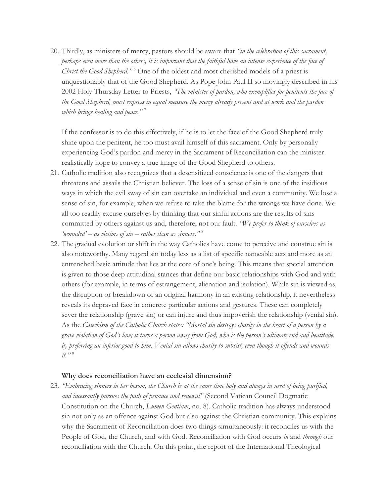20. Thirdly, as ministers of mercy, pastors should be aware that *"in the celebration of this sacrament, perhaps even more than the others, it is important that the faithful have an intense experience of the face of Christ the Good Shepherd.*"<sup>6</sup> One of the oldest and most cherished models of a priest is unquestionably that of the Good Shepherd. As Pope John Paul II so movingly described in his 2002 Holy Thursday Letter to Priests, *"The minister of pardon, who exemplifies for penitents the face of the Good Shepherd, must express in equal measure the mercy already present and at work and the pardon which brings healing and peace."* <sup>7</sup>

If the confessor is to do this effectively, if he is to let the face of the Good Shepherd truly shine upon the penitent, he too must avail himself of this sacrament. Only by personally experiencing God's pardon and mercy in the Sacrament of Reconciliation can the minister realistically hope to convey a true image of the Good Shepherd to others.

- 21. Catholic tradition also recognizes that a desensitized conscience is one of the dangers that threatens and assails the Christian believer. The loss of a sense of sin is one of the insidious ways in which the evil sway of sin can overtake an individual and even a community. We lose a sense of sin, for example, when we refuse to take the blame for the wrongs we have done. We all too readily excuse ourselves by thinking that our sinful actions are the results of sins committed by others against us and, therefore, not our fault. *"We prefer to think of ourselves as 'wounded' – as victims of sin – rather than as sinners."* <sup>8</sup>
- 22. The gradual evolution or shift in the way Catholics have come to perceive and construe sin is also noteworthy. Many regard sin today less as a list of specific nameable acts and more as an entrenched basic attitude that lies at the core of one's being. This means that special attention is given to those deep attitudinal stances that define our basic relationships with God and with others (for example, in terms of estrangement, alienation and isolation). While sin is viewed as the disruption or breakdown of an original harmony in an existing relationship, it nevertheless reveals its depraved face in concrete particular actions and gestures. These can completely sever the relationship (grave sin) or can injure and thus impoverish the relationship (venial sin). As the *Catechism of the Catholic Church states: "Mortal sin destroys charity in the heart of a person by a grave violation of God's law; it turns a person away from God, who is the person's ultimate end and beatitude, by preferring an inferior good to him. Venial sin allows charity to subsist, even though it offends and wounds it.*"<sup>9</sup>

## **Why does reconciliation have an ecclesial dimension?**

23. *"Embracing sinners in her bosom, the Church is at the same time holy and always in need of being purified, and incessantly pursues the path of penance and renewal"* (Second Vatican Council Dogmatic Constitution on the Church, *Lumen Gentium*, no. 8). Catholic tradition has always understood sin not only as an offence against God but also against the Christian community. This explains why the Sacrament of Reconciliation does two things simultaneously: it reconciles us with the People of God, the Church, and with God. Reconciliation with God occurs *in* and *through* our reconciliation with the Church. On this point, the report of the International Theological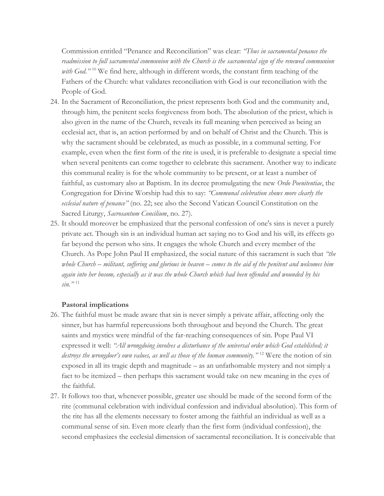Commission entitled "Penance and Reconciliation" was clear: *"Thus in sacramental penance the readmission to full sacramental communion with the Church is the sacramental sign of the renewed communion*  with God."<sup>10</sup> We find here, although in different words, the constant firm teaching of the Fathers of the Church: what validates reconciliation with God is our reconciliation with the People of God.

- 24. In the Sacrament of Reconciliation, the priest represents both God and the community and, through him, the penitent seeks forgiveness from both. The absolution of the priest, which is also given in the name of the Church, reveals its full meaning when perceived as being an ecclesial act, that is, an action performed by and on behalf of Christ and the Church. This is why the sacrament should be celebrated, as much as possible, in a communal setting. For example, even when the first form of the rite is used, it is preferable to designate a special time when several penitents can come together to celebrate this sacrament. Another way to indicate this communal reality is for the whole community to be present, or at least a number of faithful, as customary also at Baptism. In its decree promulgating the new *Ordo Poenitentiae*, the Congregation for Divine Worship had this to say: *"Communal celebration shows more clearly the ecclesial nature of penance"* (no. 22; see also the Second Vatican Council Constitution on the Sacred Liturgy, *Sacrosantum Concilium*, no. 27).
- 25. It should moreover be emphasized that the personal confession of one's sins is never a purely private act. Though sin is an individual human act saying no to God and his will, its effects go far beyond the person who sins. It engages the whole Church and every member of the Church. As Pope John Paul II emphasized, the social nature of this sacrament is such that *"the whole Church – militant, suffering and glorious in heaven – comes to the aid of the penitent and welcomes him again into her bosom, especially as it was the whole Church which had been offended and wounded by his sin."* <sup>11</sup>

## **Pastoral implications**

- 26. The faithful must be made aware that sin is never simply a private affair, affecting only the sinner, but has harmful repercussions both throughout and beyond the Church. The great saints and mystics were mindful of the far-reaching consequences of sin. Pope Paul VI expressed it well: *"All wrongdoing involves a disturbance of the universal order which God established; it destroys the wrongdoer's own values, as well as those of the human community."* <sup>12</sup> Were the notion of sin exposed in all its tragic depth and magnitude – as an unfathomable mystery and not simply a fact to be itemized – then perhaps this sacrament would take on new meaning in the eyes of the faithful.
- 27. It follows too that, whenever possible, greater use should be made of the second form of the rite (communal celebration with individual confession and individual absolution). This form of the rite has all the elements necessary to foster among the faithful an individual as well as a communal sense of sin. Even more clearly than the first form (individual confession), the second emphasizes the ecclesial dimension of sacramental reconciliation. It is conceivable that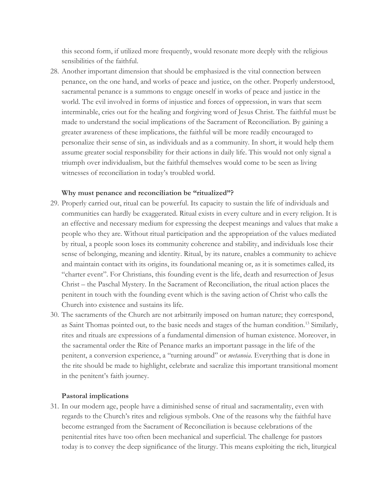this second form, if utilized more frequently, would resonate more deeply with the religious sensibilities of the faithful.

28. Another important dimension that should be emphasized is the vital connection between penance, on the one hand, and works of peace and justice, on the other. Properly understood, sacramental penance is a summons to engage oneself in works of peace and justice in the world. The evil involved in forms of injustice and forces of oppression, in wars that seem interminable, cries out for the healing and forgiving word of Jesus Christ. The faithful must be made to understand the social implications of the Sacrament of Reconciliation. By gaining a greater awareness of these implications, the faithful will be more readily encouraged to personalize their sense of sin, as individuals and as a community. In short, it would help them assume greater social responsibility for their actions in daily life. This would not only signal a triumph over individualism, but the faithful themselves would come to be seen as living witnesses of reconciliation in today's troubled world.

#### **Why must penance and reconciliation be "ritualized"?**

- 29. Properly carried out, ritual can be powerful. Its capacity to sustain the life of individuals and communities can hardly be exaggerated. Ritual exists in every culture and in every religion. It is an effective and necessary medium for expressing the deepest meanings and values that make a people who they are. Without ritual participation and the appropriation of the values mediated by ritual, a people soon loses its community coherence and stability, and individuals lose their sense of belonging, meaning and identity. Ritual, by its nature, enables a community to achieve and maintain contact with its origins, its foundational meaning or, as it is sometimes called, its "charter event". For Christians, this founding event is the life, death and resurrection of Jesus Christ – the Paschal Mystery. In the Sacrament of Reconciliation, the ritual action places the penitent in touch with the founding event which is the saving action of Christ who calls the Church into existence and sustains its life.
- 30. The sacraments of the Church are not arbitrarily imposed on human nature; they correspond, as Saint Thomas pointed out, to the basic needs and stages of the human condition.<sup>13</sup> Similarly, rites and rituals are expressions of a fundamental dimension of human existence. Moreover, in the sacramental order the Rite of Penance marks an important passage in the life of the penitent, a conversion experience, a "turning around" or *metanoia*. Everything that is done in the rite should be made to highlight, celebrate and sacralize this important transitional moment in the penitent's faith journey.

#### **Pastoral implications**

31. In our modern age, people have a diminished sense of ritual and sacramentality, even with regards to the Church's rites and religious symbols. One of the reasons why the faithful have become estranged from the Sacrament of Reconciliation is because celebrations of the penitential rites have too often been mechanical and superficial. The challenge for pastors today is to convey the deep significance of the liturgy. This means exploiting the rich, liturgical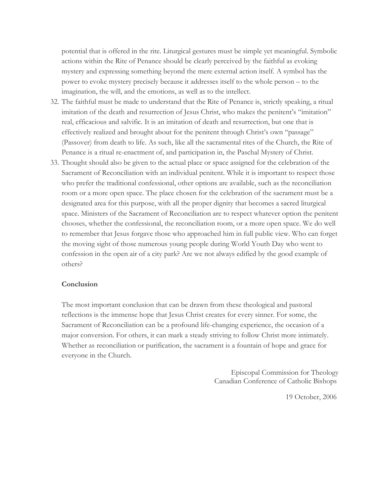potential that is offered in the rite. Liturgical gestures must be simple yet meaningful. Symbolic actions within the Rite of Penance should be clearly perceived by the faithful as evoking mystery and expressing something beyond the mere external action itself. A symbol has the power to evoke mystery precisely because it addresses itself to the whole person – to the imagination, the will, and the emotions, as well as to the intellect.

- 32. The faithful must be made to understand that the Rite of Penance is, strictly speaking, a ritual imitation of the death and resurrection of Jesus Christ, who makes the penitent's "imitation" real, efficacious and salvific. It is an imitation of death and resurrection, but one that is effectively realized and brought about for the penitent through Christ's own "passage" (Passover) from death to life. As such, like all the sacramental rites of the Church, the Rite of Penance is a ritual re-enactment of, and participation in, the Paschal Mystery of Christ.
- 33. Thought should also be given to the actual place or space assigned for the celebration of the Sacrament of Reconciliation with an individual penitent. While it is important to respect those who prefer the traditional confessional, other options are available, such as the reconciliation room or a more open space. The place chosen for the celebration of the sacrament must be a designated area for this purpose, with all the proper dignity that becomes a sacred liturgical space. Ministers of the Sacrament of Reconciliation are to respect whatever option the penitent chooses, whether the confessional, the reconciliation room, or a more open space. We do well to remember that Jesus forgave those who approached him in full public view. Who can forget the moving sight of those numerous young people during World Youth Day who went to confession in the open air of a city park? Are we not always edified by the good example of others?

## **Conclusion**

The most important conclusion that can be drawn from these theological and pastoral reflections is the immense hope that Jesus Christ creates for every sinner. For some, the Sacrament of Reconciliation can be a profound life-changing experience, the occasion of a major conversion. For others, it can mark a steady striving to follow Christ more intimately. Whether as reconciliation or purification, the sacrament is a fountain of hope and grace for everyone in the Church.

> Episcopal Commission for Theology Canadian Conference of Catholic Bishops

> > 19 October, 2006